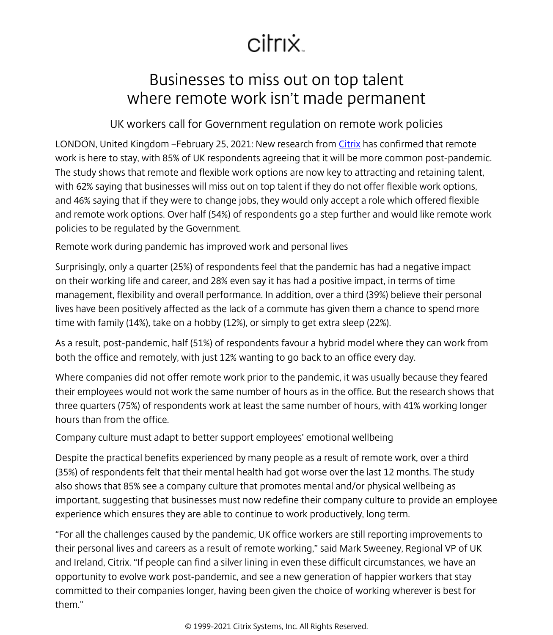## citrix.

## Businesses to miss out on top talent where remote work isn't made permanent

## UK workers call for Government regulation on remote work policies

LONDON, United Kingdom –February 25, 2021: New research from [Citrix](/content/citrix/en-gb.html) has confirmed that remote work is here to stay, with 85% of UK respondents agreeing that it will be more common post-pandemic. The study shows that remote and flexible work options are now key to attracting and retaining talent, with 62% saying that businesses will miss out on top talent if they do not offer flexible work options, and 46% saying that if they were to change jobs, they would only accept a role which offered flexible and remote work options. Over half (54%) of respondents go a step further and would like remote work policies to be regulated by the Government.

Remote work during pandemic has improved work and personal lives

Surprisingly, only a quarter (25%) of respondents feel that the pandemic has had a negative impact on their working life and career, and 28% even say it has had a positive impact, in terms of time management, flexibility and overall performance. In addition, over a third (39%) believe their personal lives have been positively affected as the lack of a commute has given them a chance to spend more time with family (14%), take on a hobby (12%), or simply to get extra sleep (22%).

As a result, post-pandemic, half (51%) of respondents favour a hybrid model where they can work from both the office and remotely, with just 12% wanting to go back to an office every day.

Where companies did not offer remote work prior to the pandemic, it was usually because they feared their employees would not work the same number of hours as in the office. But the research shows that three quarters (75%) of respondents work at least the same number of hours, with 41% working longer hours than from the office.

Company culture must adapt to better support employees' emotional wellbeing

Despite the practical benefits experienced by many people as a result of remote work, over a third (35%) of respondents felt that their mental health had got worse over the last 12 months. The study also shows that 85% see a company culture that promotes mental and/or physical wellbeing as important, suggesting that businesses must now redefine their company culture to provide an employee experience which ensures they are able to continue to work productively, long term.

"For all the challenges caused by the pandemic, UK office workers are still reporting improvements to their personal lives and careers as a result of remote working," said Mark Sweeney, Regional VP of UK and Ireland, Citrix. "If people can find a silver lining in even these difficult circumstances, we have an opportunity to evolve work post-pandemic, and see a new generation of happier workers that stay committed to their companies longer, having been given the choice of working wherever is best for them."